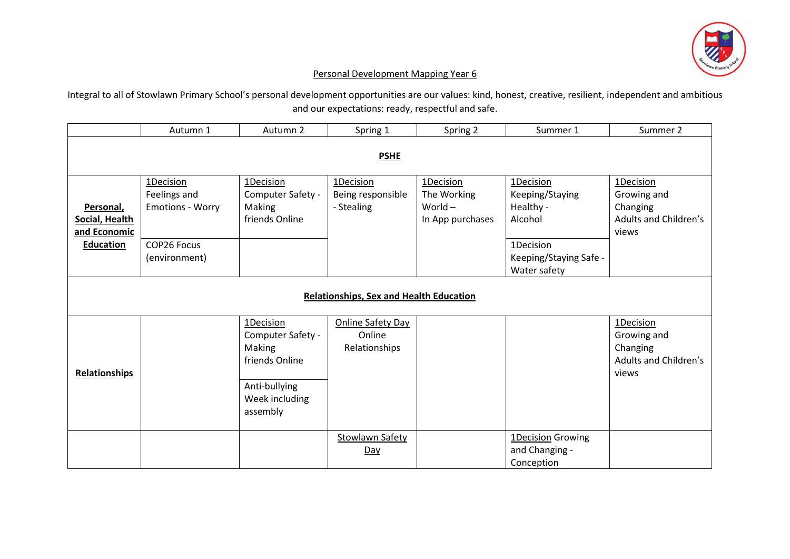

## Personal Development Mapping Year 6

Integral to all of Stowlawn Primary School's personal development opportunities are our values: kind, honest, creative, resilient, independent and ambitious and our expectations: ready, respectful and safe.

|                                                | Autumn 1                                             | Autumn 2                                                                                                  | Spring 1                                            | Spring 2                                                  | Summer 1                                             | Summer 2                                                               |  |  |
|------------------------------------------------|------------------------------------------------------|-----------------------------------------------------------------------------------------------------------|-----------------------------------------------------|-----------------------------------------------------------|------------------------------------------------------|------------------------------------------------------------------------|--|--|
| <b>PSHE</b>                                    |                                                      |                                                                                                           |                                                     |                                                           |                                                      |                                                                        |  |  |
| Personal,<br>Social, Health<br>and Economic    | 1Decision<br>Feelings and<br><b>Emotions - Worry</b> | 1Decision<br>Computer Safety -<br>Making<br>friends Online                                                | 1Decision<br>Being responsible<br>- Stealing        | 1Decision<br>The Working<br>World $-$<br>In App purchases | 1Decision<br>Keeping/Staying<br>Healthy -<br>Alcohol | 1Decision<br>Growing and<br>Changing<br>Adults and Children's<br>views |  |  |
| Education                                      | COP26 Focus<br>(environment)                         |                                                                                                           |                                                     |                                                           | 1Decision<br>Keeping/Staying Safe -<br>Water safety  |                                                                        |  |  |
| <b>Relationships, Sex and Health Education</b> |                                                      |                                                                                                           |                                                     |                                                           |                                                      |                                                                        |  |  |
| Relationships                                  |                                                      | 1Decision<br>Computer Safety -<br>Making<br>friends Online<br>Anti-bullying<br>Week including<br>assembly | <b>Online Safety Day</b><br>Online<br>Relationships |                                                           |                                                      | 1Decision<br>Growing and<br>Changing<br>Adults and Children's<br>views |  |  |
|                                                |                                                      |                                                                                                           | <b>Stowlawn Safety</b><br>Day                       |                                                           | 1Decision Growing<br>and Changing -<br>Conception    |                                                                        |  |  |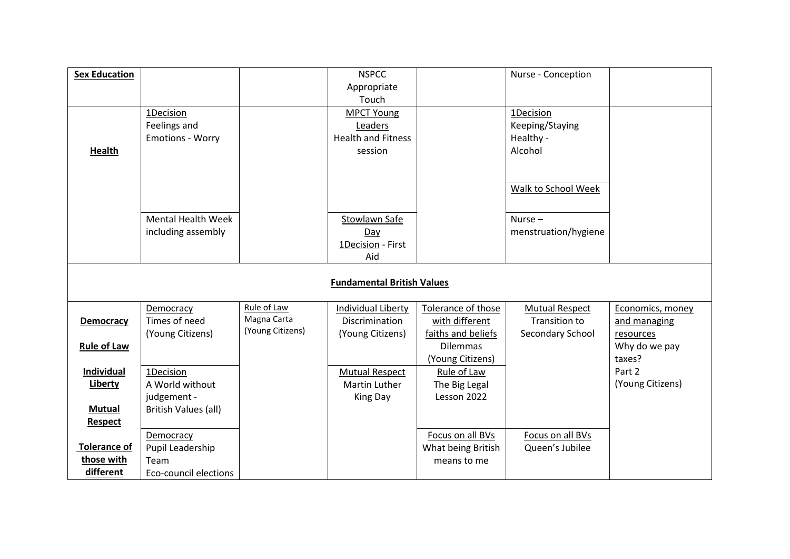| <b>Sex Education</b> |                                   |                  | <b>NSPCC</b>              |                    | Nurse - Conception    |                  |  |  |  |
|----------------------|-----------------------------------|------------------|---------------------------|--------------------|-----------------------|------------------|--|--|--|
|                      |                                   |                  | Appropriate               |                    |                       |                  |  |  |  |
|                      |                                   |                  | Touch                     |                    |                       |                  |  |  |  |
|                      | 1Decision                         |                  | <b>MPCT Young</b>         |                    | 1Decision             |                  |  |  |  |
|                      | Feelings and                      |                  | Leaders                   |                    | Keeping/Staying       |                  |  |  |  |
|                      | <b>Emotions - Worry</b>           |                  | <b>Health and Fitness</b> |                    | Healthy -             |                  |  |  |  |
| Health               |                                   |                  | session                   |                    | Alcohol               |                  |  |  |  |
|                      |                                   |                  |                           |                    |                       |                  |  |  |  |
|                      |                                   |                  |                           |                    |                       |                  |  |  |  |
|                      |                                   |                  |                           |                    | Walk to School Week   |                  |  |  |  |
|                      |                                   |                  |                           |                    |                       |                  |  |  |  |
|                      | <b>Mental Health Week</b>         |                  | Stowlawn Safe             |                    | Nurse $-$             |                  |  |  |  |
|                      | including assembly                |                  | Day                       |                    | menstruation/hygiene  |                  |  |  |  |
|                      |                                   |                  | 1Decision - First         |                    |                       |                  |  |  |  |
|                      |                                   |                  | Aid                       |                    |                       |                  |  |  |  |
|                      |                                   |                  |                           |                    |                       |                  |  |  |  |
|                      | <b>Fundamental British Values</b> |                  |                           |                    |                       |                  |  |  |  |
|                      |                                   |                  |                           |                    |                       |                  |  |  |  |
|                      | Democracy                         | Rule of Law      | Individual Liberty        | Tolerance of those | <b>Mutual Respect</b> | Economics, money |  |  |  |
| <b>Democracy</b>     | Times of need                     | Magna Carta      | <b>Discrimination</b>     | with different     | <b>Transition to</b>  | and managing     |  |  |  |
|                      | (Young Citizens)                  | (Young Citizens) | (Young Citizens)          | faiths and beliefs | Secondary School      | resources        |  |  |  |
| <b>Rule of Law</b>   |                                   |                  |                           | <b>Dilemmas</b>    |                       | Why do we pay    |  |  |  |
|                      |                                   |                  |                           | (Young Citizens)   |                       | taxes?           |  |  |  |
| Individual           | 1Decision                         |                  | <b>Mutual Respect</b>     | Rule of Law        |                       | Part 2           |  |  |  |
| Liberty              | A World without                   |                  | Martin Luther             | The Big Legal      |                       | (Young Citizens) |  |  |  |
|                      | judgement -                       |                  | King Day                  | Lesson 2022        |                       |                  |  |  |  |
| <b>Mutual</b>        | British Values (all)              |                  |                           |                    |                       |                  |  |  |  |
| <b>Respect</b>       |                                   |                  |                           |                    |                       |                  |  |  |  |
|                      | Democracy                         |                  |                           | Focus on all BVs   | Focus on all BVs      |                  |  |  |  |
| <b>Tolerance of</b>  | Pupil Leadership                  |                  |                           | What being British | Queen's Jubilee       |                  |  |  |  |
| those with           | Team                              |                  |                           | means to me        |                       |                  |  |  |  |
| different            | Eco-council elections             |                  |                           |                    |                       |                  |  |  |  |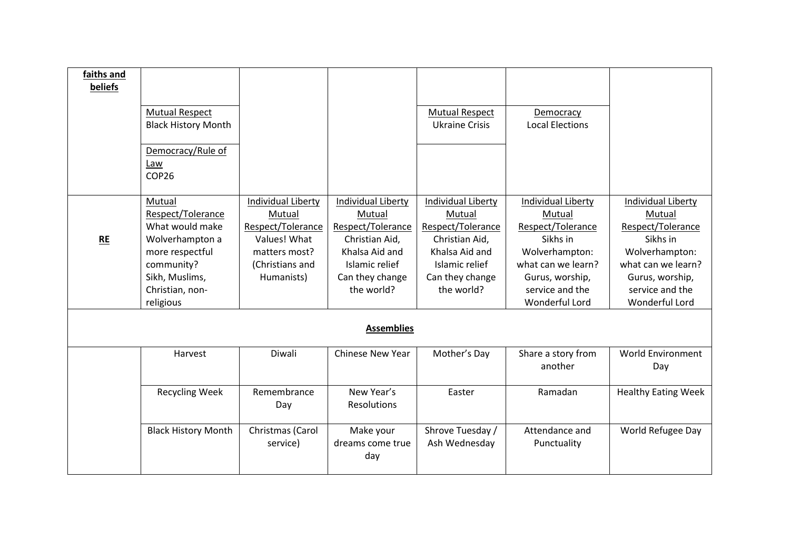| faiths and |                            |                    |                         |                           |                           |                            |
|------------|----------------------------|--------------------|-------------------------|---------------------------|---------------------------|----------------------------|
| beliefs    |                            |                    |                         |                           |                           |                            |
|            |                            |                    |                         |                           |                           |                            |
|            | <b>Mutual Respect</b>      |                    |                         | <b>Mutual Respect</b>     | Democracy                 |                            |
|            | <b>Black History Month</b> |                    |                         | <b>Ukraine Crisis</b>     | <b>Local Elections</b>    |                            |
|            |                            |                    |                         |                           |                           |                            |
|            | Democracy/Rule of          |                    |                         |                           |                           |                            |
|            | Law                        |                    |                         |                           |                           |                            |
|            | COP <sub>26</sub>          |                    |                         |                           |                           |                            |
|            |                            |                    |                         |                           |                           |                            |
|            | Mutual                     | Individual Liberty | Individual Liberty      | <b>Individual Liberty</b> | <b>Individual Liberty</b> | <b>Individual Liberty</b>  |
|            | Respect/Tolerance          | Mutual             | Mutual                  | Mutual                    | Mutual                    | Mutual                     |
|            | What would make            | Respect/Tolerance  | Respect/Tolerance       | Respect/Tolerance         | Respect/Tolerance         | Respect/Tolerance          |
| <b>RE</b>  | Wolverhampton a            | Values! What       | Christian Aid,          | Christian Aid,            | Sikhs in                  | Sikhs in                   |
|            | more respectful            | matters most?      | Khalsa Aid and          | Khalsa Aid and            | Wolverhampton:            | Wolverhampton:             |
|            | community?                 | (Christians and    | Islamic relief          | Islamic relief            | what can we learn?        | what can we learn?         |
|            | Sikh, Muslims,             | Humanists)         | Can they change         | Can they change           | Gurus, worship,           | Gurus, worship,            |
|            | Christian, non-            |                    | the world?              | the world?                | service and the           | service and the            |
|            | religious                  |                    |                         |                           | <b>Wonderful Lord</b>     | <b>Wonderful Lord</b>      |
|            |                            |                    |                         |                           |                           |                            |
|            |                            |                    | <b>Assemblies</b>       |                           |                           |                            |
|            |                            |                    |                         |                           |                           |                            |
|            | Harvest                    | Diwali             | <b>Chinese New Year</b> | Mother's Day              | Share a story from        | <b>World Environment</b>   |
|            |                            |                    |                         |                           | another                   | Day                        |
|            |                            |                    |                         |                           |                           |                            |
|            | <b>Recycling Week</b>      | Remembrance        | New Year's              | Easter                    | Ramadan                   | <b>Healthy Eating Week</b> |
|            |                            | Day                | Resolutions             |                           |                           |                            |
|            |                            |                    |                         |                           |                           |                            |
|            | <b>Black History Month</b> | Christmas (Carol   | Make your               | Shrove Tuesday /          | Attendance and            | World Refugee Day          |
|            |                            | service)           | dreams come true        | Ash Wednesday             | Punctuality               |                            |
|            |                            |                    | day                     |                           |                           |                            |
|            |                            |                    |                         |                           |                           |                            |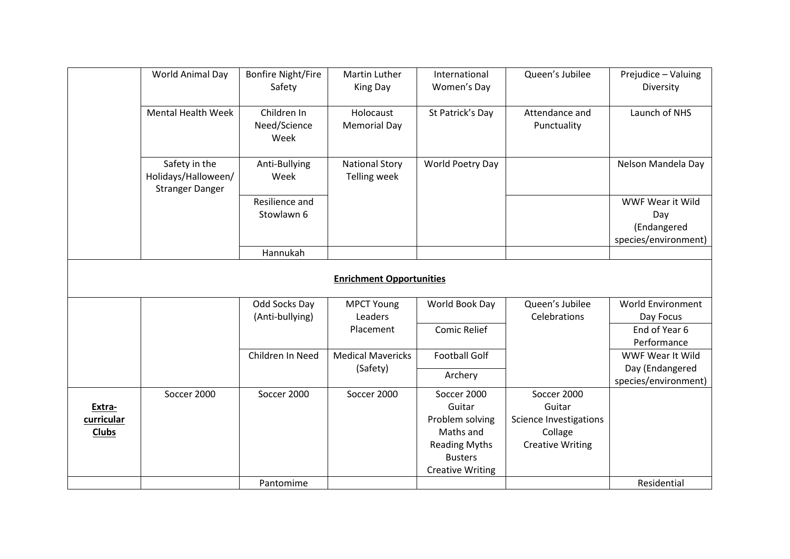|              | World Animal Day                                               | <b>Bonfire Night/Fire</b><br>Safety | Martin Luther<br>King Day                    | International<br>Women's Day           | Queen's Jubilee                    | Prejudice - Valuing<br>Diversity                               |
|--------------|----------------------------------------------------------------|-------------------------------------|----------------------------------------------|----------------------------------------|------------------------------------|----------------------------------------------------------------|
|              | <b>Mental Health Week</b>                                      | Children In<br>Need/Science<br>Week | Holocaust<br><b>Memorial Day</b>             | St Patrick's Day                       | Attendance and<br>Punctuality      | Launch of NHS                                                  |
|              | Safety in the<br>Holidays/Halloween/<br><b>Stranger Danger</b> | Anti-Bullying<br>Week               | <b>National Story</b><br><b>Telling week</b> | World Poetry Day                       |                                    | Nelson Mandela Day                                             |
|              |                                                                | Resilience and<br>Stowlawn 6        |                                              |                                        |                                    | WWF Wear it Wild<br>Day<br>(Endangered<br>species/environment) |
|              |                                                                | Hannukah                            |                                              |                                        |                                    |                                                                |
|              |                                                                |                                     | <b>Enrichment Opportunities</b>              |                                        |                                    |                                                                |
|              |                                                                | Odd Socks Day                       | <b>MPCT Young</b>                            | World Book Day                         | Queen's Jubilee                    | <b>World Environment</b>                                       |
|              |                                                                | (Anti-bullying)                     | Leaders                                      |                                        | Celebrations                       | Day Focus                                                      |
|              |                                                                |                                     | Placement                                    | <b>Comic Relief</b>                    |                                    | End of Year 6<br>Performance                                   |
|              |                                                                | Children In Need                    | <b>Medical Mavericks</b>                     | <b>Football Golf</b>                   |                                    | WWF Wear It Wild                                               |
|              |                                                                |                                     | (Safety)                                     | Archery                                |                                    | Day (Endangered                                                |
|              |                                                                |                                     |                                              |                                        |                                    | species/environment)                                           |
|              | Soccer 2000                                                    | Soccer 2000                         | Soccer 2000                                  | Soccer 2000                            | Soccer 2000                        |                                                                |
| Extra-       |                                                                |                                     |                                              | Guitar                                 | Guitar                             |                                                                |
| curricular   |                                                                |                                     |                                              | Problem solving<br>Maths and           | <b>Science Investigations</b>      |                                                                |
| <b>Clubs</b> |                                                                |                                     |                                              |                                        | Collage<br><b>Creative Writing</b> |                                                                |
|              |                                                                |                                     |                                              | <b>Reading Myths</b><br><b>Busters</b> |                                    |                                                                |
|              |                                                                |                                     |                                              | <b>Creative Writing</b>                |                                    |                                                                |
|              |                                                                | Pantomime                           |                                              |                                        |                                    | Residential                                                    |